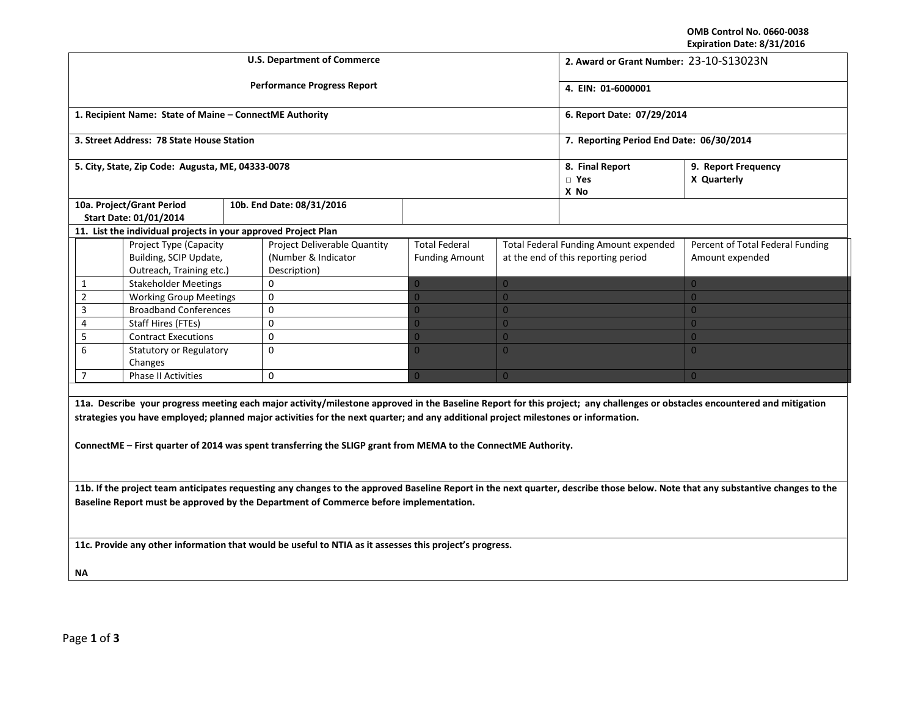**OMB Control No. 0660-0038 Expiration Date: 8/31/2016**

|                                                                                                                                                                                                                                                                                                                                                                                                                                    |                                                                |  | <b>U.S. Department of Commerce</b> | 2. Award or Grant Number: 23-10-S13023N |                                          |                                              |                                  |  |  |  |
|------------------------------------------------------------------------------------------------------------------------------------------------------------------------------------------------------------------------------------------------------------------------------------------------------------------------------------------------------------------------------------------------------------------------------------|----------------------------------------------------------------|--|------------------------------------|-----------------------------------------|------------------------------------------|----------------------------------------------|----------------------------------|--|--|--|
|                                                                                                                                                                                                                                                                                                                                                                                                                                    |                                                                |  | <b>Performance Progress Report</b> |                                         | 4. EIN: 01-6000001                       |                                              |                                  |  |  |  |
|                                                                                                                                                                                                                                                                                                                                                                                                                                    | 1. Recipient Name: State of Maine - ConnectME Authority        |  |                                    |                                         | 6. Report Date: 07/29/2014               |                                              |                                  |  |  |  |
|                                                                                                                                                                                                                                                                                                                                                                                                                                    | 3. Street Address: 78 State House Station                      |  |                                    |                                         | 7. Reporting Period End Date: 06/30/2014 |                                              |                                  |  |  |  |
|                                                                                                                                                                                                                                                                                                                                                                                                                                    | 5. City, State, Zip Code: Augusta, ME, 04333-0078              |  |                                    |                                         | 8. Final Report<br>$\square$ Yes<br>X No | 9. Report Frequency<br>X Quarterly           |                                  |  |  |  |
|                                                                                                                                                                                                                                                                                                                                                                                                                                    | 10a. Project/Grant Period                                      |  | 10b. End Date: 08/31/2016          |                                         |                                          |                                              |                                  |  |  |  |
|                                                                                                                                                                                                                                                                                                                                                                                                                                    | Start Date: 01/01/2014                                         |  |                                    |                                         |                                          |                                              |                                  |  |  |  |
|                                                                                                                                                                                                                                                                                                                                                                                                                                    | 11. List the individual projects in your approved Project Plan |  |                                    |                                         |                                          |                                              |                                  |  |  |  |
|                                                                                                                                                                                                                                                                                                                                                                                                                                    | Project Type (Capacity                                         |  | Project Deliverable Quantity       | <b>Total Federal</b>                    |                                          | <b>Total Federal Funding Amount expended</b> | Percent of Total Federal Funding |  |  |  |
|                                                                                                                                                                                                                                                                                                                                                                                                                                    | Building, SCIP Update,                                         |  | (Number & Indicator                | <b>Funding Amount</b>                   |                                          | at the end of this reporting period          | Amount expended                  |  |  |  |
|                                                                                                                                                                                                                                                                                                                                                                                                                                    | Outreach, Training etc.)                                       |  | Description)                       |                                         |                                          |                                              |                                  |  |  |  |
| $\mathbf{1}$                                                                                                                                                                                                                                                                                                                                                                                                                       | <b>Stakeholder Meetings</b>                                    |  | 0                                  | $\Omega$                                | $\overline{0}$                           |                                              | $\overline{0}$                   |  |  |  |
| $\mathbf 2$                                                                                                                                                                                                                                                                                                                                                                                                                        | <b>Working Group Meetings</b>                                  |  | $\mathbf 0$                        | $\overline{0}$                          | $\overline{0}$                           |                                              | $\overline{0}$                   |  |  |  |
| $\overline{3}$                                                                                                                                                                                                                                                                                                                                                                                                                     | <b>Broadband Conferences</b>                                   |  | $\mathbf 0$                        | $\overline{0}$                          | $\overline{0}$                           |                                              | $\overline{0}$                   |  |  |  |
| $\overline{4}$                                                                                                                                                                                                                                                                                                                                                                                                                     | <b>Staff Hires (FTEs)</b>                                      |  | $\mathbf 0$                        | $\overline{0}$                          | $\overline{0}$                           |                                              | $\overline{0}$                   |  |  |  |
| 5                                                                                                                                                                                                                                                                                                                                                                                                                                  | <b>Contract Executions</b>                                     |  | $\mathbf 0$                        | $\overline{0}$                          | $\overline{0}$                           |                                              | $\overline{0}$                   |  |  |  |
| 6                                                                                                                                                                                                                                                                                                                                                                                                                                  | <b>Statutory or Regulatory</b><br>Changes                      |  | $\mathbf 0$                        | $\overline{0}$                          | $\overline{0}$                           |                                              | $\overline{0}$                   |  |  |  |
| $\overline{7}$                                                                                                                                                                                                                                                                                                                                                                                                                     | <b>Phase II Activities</b>                                     |  | $\mathbf 0$                        | $\overline{0}$                          | $\overline{0}$                           |                                              | $\overline{0}$                   |  |  |  |
|                                                                                                                                                                                                                                                                                                                                                                                                                                    |                                                                |  |                                    |                                         |                                          |                                              |                                  |  |  |  |
| 11a. Describe your progress meeting each major activity/milestone approved in the Baseline Report for this project; any challenges or obstacles encountered and mitigation<br>strategies you have employed; planned major activities for the next quarter; and any additional project milestones or information.<br>ConnectME – First quarter of 2014 was spent transferring the SLIGP grant from MEMA to the ConnectME Authority. |                                                                |  |                                    |                                         |                                          |                                              |                                  |  |  |  |
| 11b. If the project team anticipates requesting any changes to the approved Baseline Report in the next quarter, describe those below. Note that any substantive changes to the                                                                                                                                                                                                                                                    |                                                                |  |                                    |                                         |                                          |                                              |                                  |  |  |  |
| Baseline Report must be approved by the Department of Commerce before implementation.                                                                                                                                                                                                                                                                                                                                              |                                                                |  |                                    |                                         |                                          |                                              |                                  |  |  |  |
| 11c. Provide any other information that would be useful to NTIA as it assesses this project's progress.                                                                                                                                                                                                                                                                                                                            |                                                                |  |                                    |                                         |                                          |                                              |                                  |  |  |  |
| ΝA                                                                                                                                                                                                                                                                                                                                                                                                                                 |                                                                |  |                                    |                                         |                                          |                                              |                                  |  |  |  |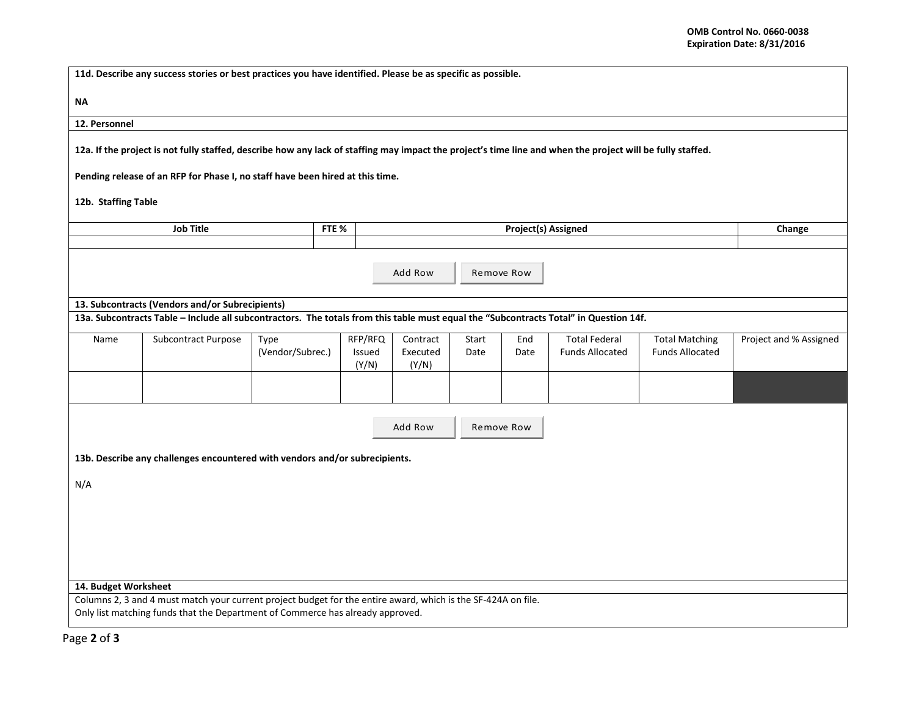| 11d. Describe any success stories or best practices you have identified. Please be as specific as possible.                                                                                     |                                                                                                                                       |                  |       |                 |                   |       |        |                        |                        |                        |
|-------------------------------------------------------------------------------------------------------------------------------------------------------------------------------------------------|---------------------------------------------------------------------------------------------------------------------------------------|------------------|-------|-----------------|-------------------|-------|--------|------------------------|------------------------|------------------------|
| ΝA                                                                                                                                                                                              |                                                                                                                                       |                  |       |                 |                   |       |        |                        |                        |                        |
| 12. Personnel                                                                                                                                                                                   |                                                                                                                                       |                  |       |                 |                   |       |        |                        |                        |                        |
| 12a. If the project is not fully staffed, describe how any lack of staffing may impact the project's time line and when the project will be fully staffed.                                      |                                                                                                                                       |                  |       |                 |                   |       |        |                        |                        |                        |
|                                                                                                                                                                                                 | Pending release of an RFP for Phase I, no staff have been hired at this time.                                                         |                  |       |                 |                   |       |        |                        |                        |                        |
| 12b. Staffing Table                                                                                                                                                                             |                                                                                                                                       |                  |       |                 |                   |       |        |                        |                        |                        |
| <b>Job Title</b>                                                                                                                                                                                |                                                                                                                                       |                  | FTE % |                 |                   |       | Change |                        |                        |                        |
|                                                                                                                                                                                                 |                                                                                                                                       |                  |       |                 |                   |       |        |                        |                        |                        |
| Add Row<br>Remove Row                                                                                                                                                                           |                                                                                                                                       |                  |       |                 |                   |       |        |                        |                        |                        |
|                                                                                                                                                                                                 | 13. Subcontracts (Vendors and/or Subrecipients)                                                                                       |                  |       |                 |                   |       |        |                        |                        |                        |
|                                                                                                                                                                                                 | 13a. Subcontracts Table - Include all subcontractors. The totals from this table must equal the "Subcontracts Total" in Question 14f. |                  |       |                 |                   |       |        |                        |                        |                        |
| Name                                                                                                                                                                                            | Subcontract Purpose                                                                                                                   | Type             |       | RFP/RFQ         | Contract          | Start | End    | <b>Total Federal</b>   | <b>Total Matching</b>  | Project and % Assigned |
|                                                                                                                                                                                                 |                                                                                                                                       | (Vendor/Subrec.) |       | Issued<br>(Y/N) | Executed<br>(Y/N) | Date  | Date   | <b>Funds Allocated</b> | <b>Funds Allocated</b> |                        |
|                                                                                                                                                                                                 |                                                                                                                                       |                  |       |                 |                   |       |        |                        |                        |                        |
|                                                                                                                                                                                                 |                                                                                                                                       |                  |       |                 |                   |       |        |                        |                        |                        |
| Add Row<br>Remove Row                                                                                                                                                                           |                                                                                                                                       |                  |       |                 |                   |       |        |                        |                        |                        |
|                                                                                                                                                                                                 | 13b. Describe any challenges encountered with vendors and/or subrecipients.                                                           |                  |       |                 |                   |       |        |                        |                        |                        |
| N/A                                                                                                                                                                                             |                                                                                                                                       |                  |       |                 |                   |       |        |                        |                        |                        |
|                                                                                                                                                                                                 |                                                                                                                                       |                  |       |                 |                   |       |        |                        |                        |                        |
|                                                                                                                                                                                                 |                                                                                                                                       |                  |       |                 |                   |       |        |                        |                        |                        |
|                                                                                                                                                                                                 |                                                                                                                                       |                  |       |                 |                   |       |        |                        |                        |                        |
|                                                                                                                                                                                                 |                                                                                                                                       |                  |       |                 |                   |       |        |                        |                        |                        |
|                                                                                                                                                                                                 |                                                                                                                                       |                  |       |                 |                   |       |        |                        |                        |                        |
| 14. Budget Worksheet                                                                                                                                                                            |                                                                                                                                       |                  |       |                 |                   |       |        |                        |                        |                        |
| Columns 2, 3 and 4 must match your current project budget for the entire award, which is the SF-424A on file.<br>Only list matching funds that the Department of Commerce has already approved. |                                                                                                                                       |                  |       |                 |                   |       |        |                        |                        |                        |
|                                                                                                                                                                                                 |                                                                                                                                       |                  |       |                 |                   |       |        |                        |                        |                        |